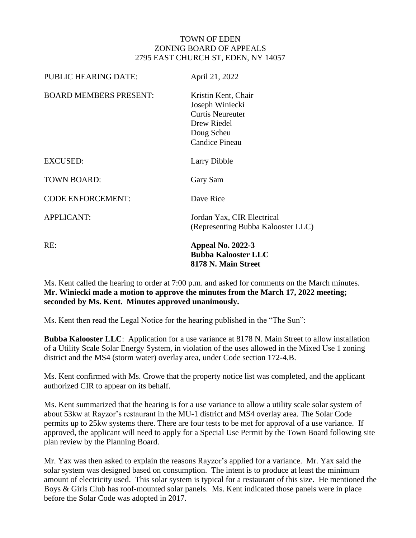## TOWN OF EDEN ZONING BOARD OF APPEALS 2795 EAST CHURCH ST, EDEN, NY 14057

| <b>PUBLIC HEARING DATE:</b>   | April 21, 2022                                                                                                          |
|-------------------------------|-------------------------------------------------------------------------------------------------------------------------|
| <b>BOARD MEMBERS PRESENT:</b> | Kristin Kent, Chair<br>Joseph Winiecki<br><b>Curtis Neureuter</b><br>Drew Riedel<br>Doug Scheu<br><b>Candice Pineau</b> |
| <b>EXCUSED:</b>               | Larry Dibble                                                                                                            |
| <b>TOWN BOARD:</b>            | Gary Sam                                                                                                                |
| <b>CODE ENFORCEMENT:</b>      | Dave Rice                                                                                                               |
| <b>APPLICANT:</b>             | Jordan Yax, CIR Electrical<br>(Representing Bubba Kalooster LLC)                                                        |
| RE:                           | <b>Appeal No. 2022-3</b><br><b>Bubba Kalooster LLC</b><br>8178 N. Main Street                                           |

Ms. Kent called the hearing to order at 7:00 p.m. and asked for comments on the March minutes. **Mr. Winiecki made a motion to approve the minutes from the March 17, 2022 meeting; seconded by Ms. Kent. Minutes approved unanimously.** 

Ms. Kent then read the Legal Notice for the hearing published in the "The Sun":

**Bubba Kalooster LLC**: Application for a use variance at 8178 N. Main Street to allow installation of a Utility Scale Solar Energy System, in violation of the uses allowed in the Mixed Use 1 zoning district and the MS4 (storm water) overlay area, under Code section 172-4.B.

Ms. Kent confirmed with Ms. Crowe that the property notice list was completed, and the applicant authorized CIR to appear on its behalf.

Ms. Kent summarized that the hearing is for a use variance to allow a utility scale solar system of about 53kw at Rayzor's restaurant in the MU-1 district and MS4 overlay area. The Solar Code permits up to 25kw systems there. There are four tests to be met for approval of a use variance. If approved, the applicant will need to apply for a Special Use Permit by the Town Board following site plan review by the Planning Board.

Mr. Yax was then asked to explain the reasons Rayzor's applied for a variance. Mr. Yax said the solar system was designed based on consumption. The intent is to produce at least the minimum amount of electricity used. This solar system is typical for a restaurant of this size. He mentioned the Boys & Girls Club has roof-mounted solar panels. Ms. Kent indicated those panels were in place before the Solar Code was adopted in 2017.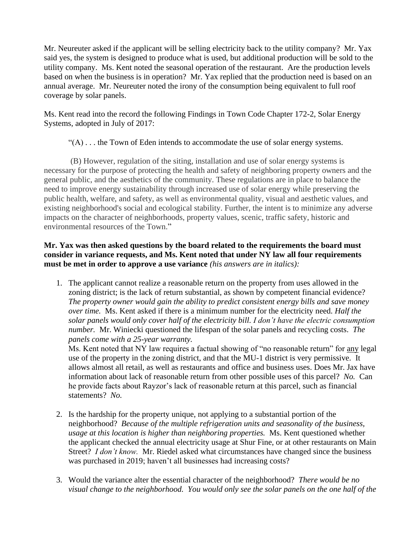Mr. Neureuter asked if the applicant will be selling electricity back to the utility company? Mr. Yax said yes, the system is designed to produce what is used, but additional production will be sold to the utility company. Ms. Kent noted the seasonal operation of the restaurant. Are the production levels based on when the business is in operation? Mr. Yax replied that the production need is based on an annual average. Mr. Neureuter noted the irony of the consumption being equivalent to full roof coverage by solar panels.

Ms. Kent read into the record the following Findings in Town Code Chapter 172-2, Solar Energy Systems, adopted in July of 2017:

"(A) . . . the Town of Eden intends to accommodate the use of solar energy systems.

(B) However, regulation of the siting, installation and use of solar energy systems is necessary for the purpose of protecting the health and safety of neighboring property owners and the general public, and the aesthetics of the community. These regulations are in place to balance the need to improve energy sustainability through increased use of solar energy while preserving the public health, welfare, and safety, as well as environmental quality, visual and aesthetic values, and existing neighborhood's social and ecological stability. Further, the intent is to minimize any adverse impacts on the character of neighborhoods, property values, scenic, traffic safety, historic and environmental resources of the Town."

## **Mr. Yax was then asked questions by the board related to the requirements the board must consider in variance requests, and Ms. Kent noted that under NY law all four requirements must be met in order to approve a use variance** *(his answers are in italics):*

1. The applicant cannot realize a reasonable return on the property from uses allowed in the zoning district; is the lack of return substantial, as shown by competent financial evidence? *The property owner would gain the ability to predict consistent energy bills and save money over time.* Ms. Kent asked if there is a minimum number for the electricity need. *Half the solar panels would only cover half of the electricity bill. I don't have the electric consumption number.* Mr. Winiecki questioned the lifespan of the solar panels and recycling costs. *The panels come with a 25-year warranty.* 

Ms. Kent noted that NY law requires a factual showing of "no reasonable return" for any legal use of the property in the zoning district, and that the MU-1 district is very permissive. It allows almost all retail, as well as restaurants and office and business uses. Does Mr. Jax have information about lack of reasonable return from other possible uses of this parcel? *No.* Can he provide facts about Rayzor's lack of reasonable return at this parcel, such as financial statements? *No.*

- 2. Is the hardship for the property unique, not applying to a substantial portion of the neighborhood? *Because of the multiple refrigeration units and seasonality of the business, usage at this location is higher than neighboring properties.* Ms. Kent questioned whether the applicant checked the annual electricity usage at Shur Fine, or at other restaurants on Main Street? *I don't know.* Mr. Riedel asked what circumstances have changed since the business was purchased in 2019; haven't all businesses had increasing costs?
- 3. Would the variance alter the essential character of the neighborhood? *There would be no visual change to the neighborhood. You would only see the solar panels on the one half of the*